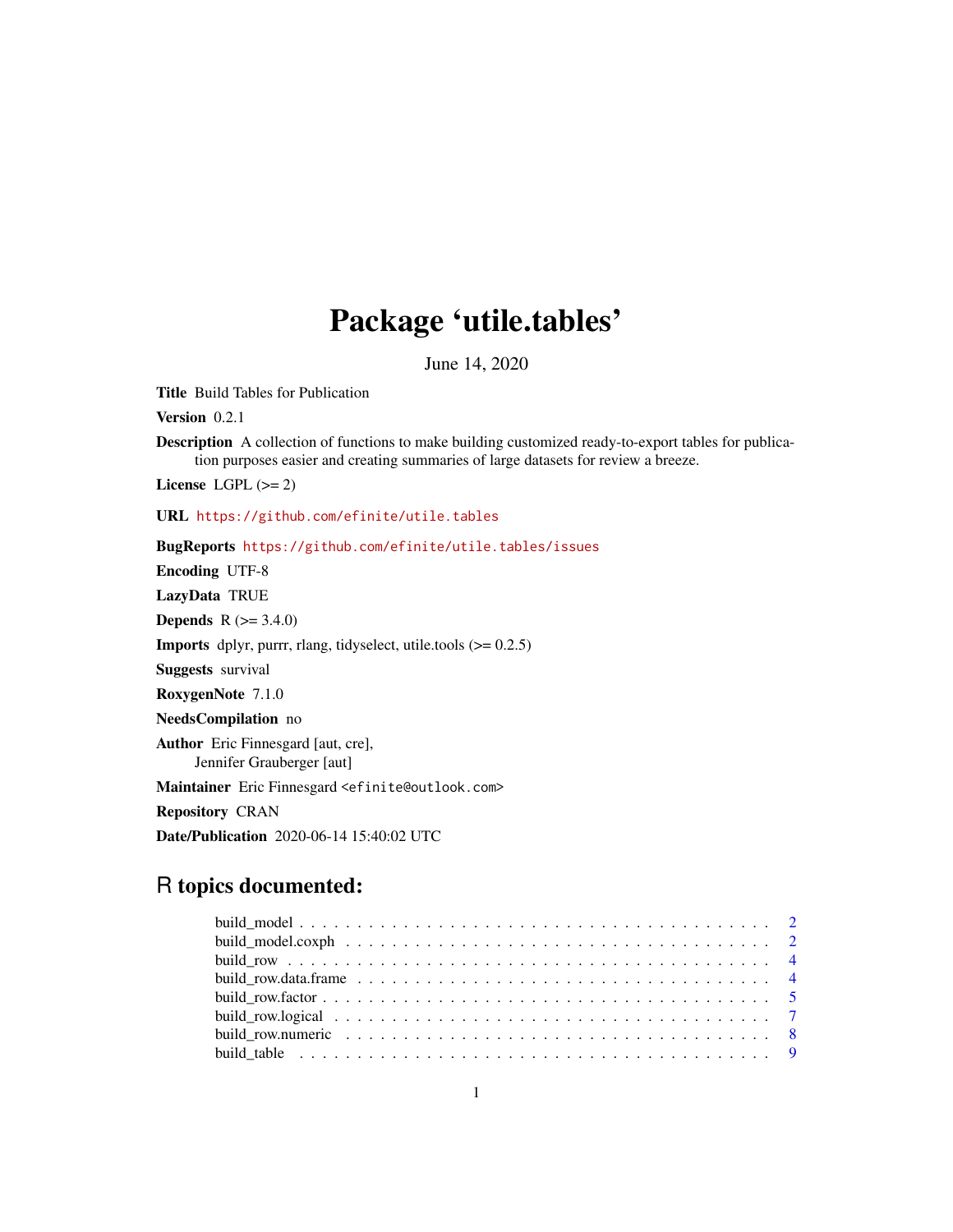## Package 'utile.tables'

June 14, 2020

<span id="page-0-0"></span>Title Build Tables for Publication

Version 0.2.1

Description A collection of functions to make building customized ready-to-export tables for publication purposes easier and creating summaries of large datasets for review a breeze.

License LGPL  $(>= 2)$ 

URL <https://github.com/efinite/utile.tables>

BugReports <https://github.com/efinite/utile.tables/issues>

Encoding UTF-8

LazyData TRUE

**Depends** R  $(>= 3.4.0)$ 

**Imports** dplyr, purrr, rlang, tidyselect, utile.tools  $(>= 0.2.5)$ 

Suggests survival

RoxygenNote 7.1.0

NeedsCompilation no

Author Eric Finnesgard [aut, cre],

Jennifer Grauberger [aut]

Maintainer Eric Finnesgard <efinite@outlook.com>

Repository CRAN

Date/Publication 2020-06-14 15:40:02 UTC

## R topics documented: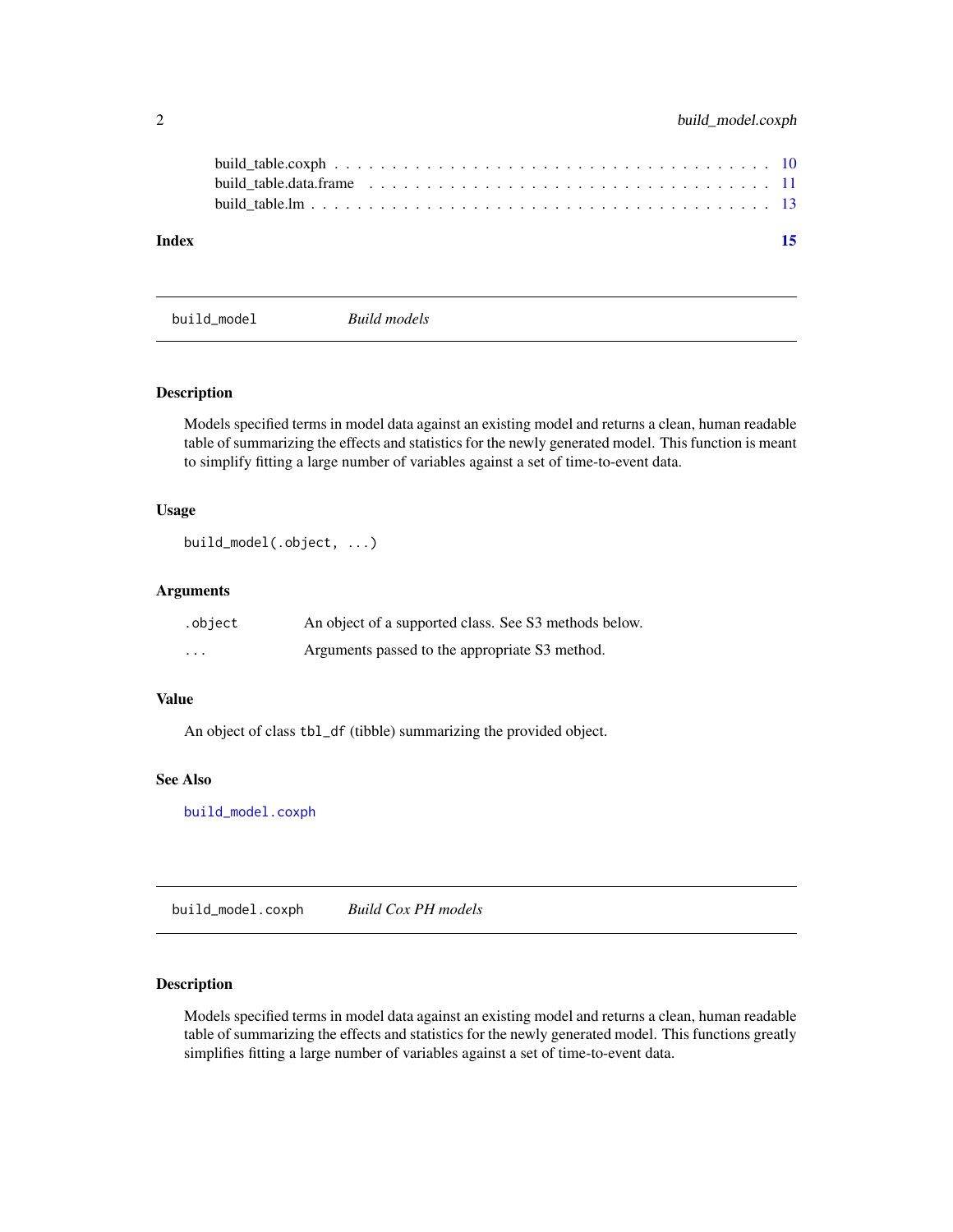<span id="page-1-0"></span>

| Index |  |  |  |  |  |  |  |  |  |  |  |  |  |  |  | -15 |
|-------|--|--|--|--|--|--|--|--|--|--|--|--|--|--|--|-----|
|       |  |  |  |  |  |  |  |  |  |  |  |  |  |  |  |     |
|       |  |  |  |  |  |  |  |  |  |  |  |  |  |  |  |     |
|       |  |  |  |  |  |  |  |  |  |  |  |  |  |  |  |     |

<span id="page-1-2"></span>build\_model *Build models*

## Description

Models specified terms in model data against an existing model and returns a clean, human readable table of summarizing the effects and statistics for the newly generated model. This function is meant to simplify fitting a large number of variables against a set of time-to-event data.

#### Usage

```
build_model(.object, ...)
```
## Arguments

| .object                 | An object of a supported class. See S3 methods below. |
|-------------------------|-------------------------------------------------------|
| $\cdot$ $\cdot$ $\cdot$ | Arguments passed to the appropriate S3 method.        |

#### Value

An object of class tbl\_df (tibble) summarizing the provided object.

#### See Also

[build\\_model.coxph](#page-1-1)

<span id="page-1-1"></span>build\_model.coxph *Build Cox PH models*

## Description

Models specified terms in model data against an existing model and returns a clean, human readable table of summarizing the effects and statistics for the newly generated model. This functions greatly simplifies fitting a large number of variables against a set of time-to-event data.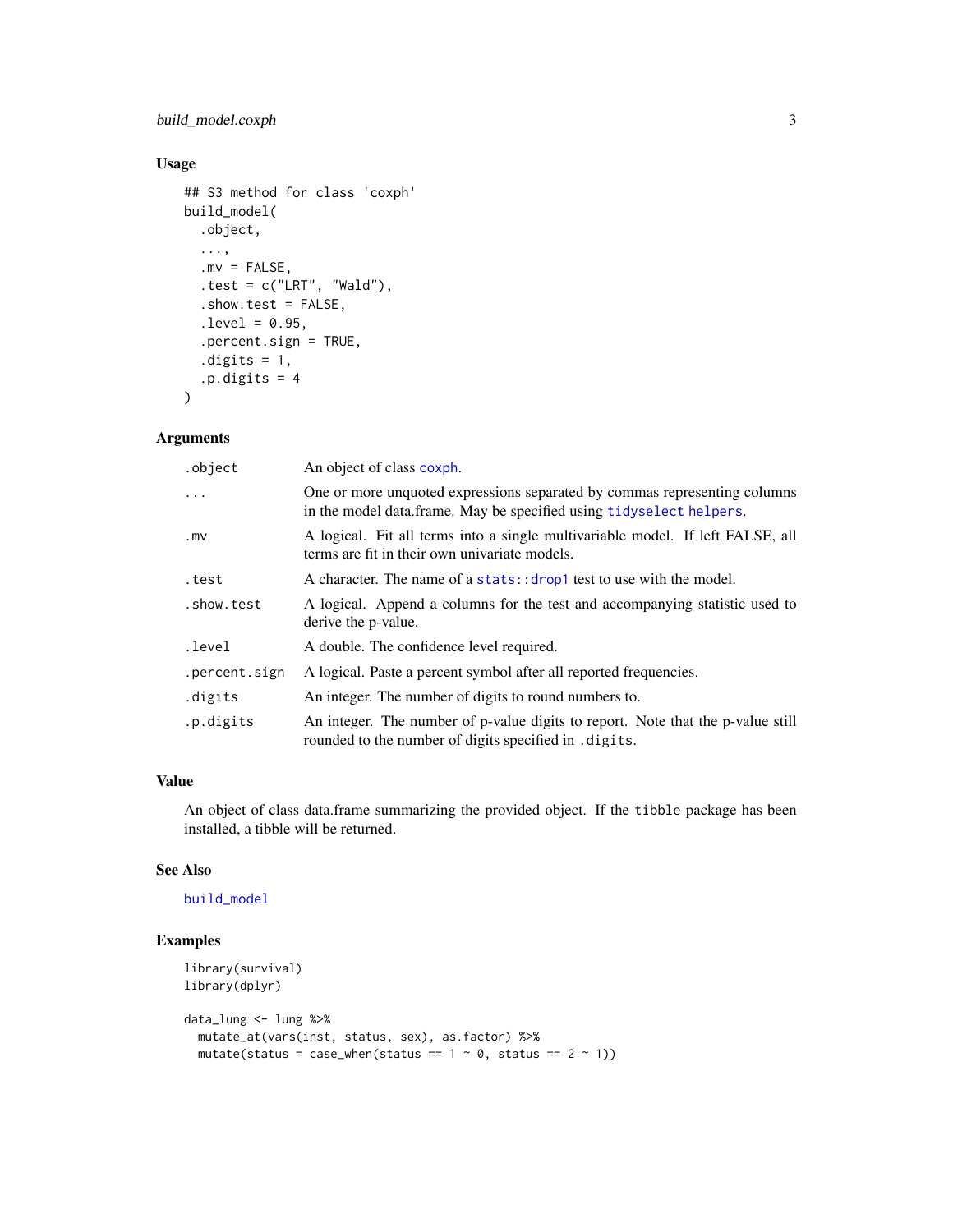## <span id="page-2-0"></span>build\_model.coxph 3

## Usage

```
## S3 method for class 'coxph'
build_model(
  .object,
  ...,
  mv = FALSE,.test = c("LRT", "Wald"),.show.test = FALSE,
  . level = 0.95,.percent.sign = TRUE,
  .digits = 1,
  .p.digits = 4\mathcal{L}
```
#### Arguments

| .object       | An object of class coxph.                                                                                                                        |
|---------------|--------------------------------------------------------------------------------------------------------------------------------------------------|
| $\cdots$      | One or more unquoted expressions separated by commas representing columns<br>in the model data frame. May be specified using tidyselect helpers. |
| .mV           | A logical. Fit all terms into a single multivariable model. If left FALSE, all<br>terms are fit in their own univariate models.                  |
| .test         | A character. The name of a stats:: drop1 test to use with the model.                                                                             |
| .show.test    | A logical. Append a columns for the test and accompanying statistic used to<br>derive the p-value.                                               |
| .level        | A double. The confidence level required.                                                                                                         |
| .percent.sign | A logical. Paste a percent symbol after all reported frequencies.                                                                                |
| .digits       | An integer. The number of digits to round numbers to.                                                                                            |
| .p.digits     | An integer. The number of p-value digits to report. Note that the p-value still<br>rounded to the number of digits specified in . digits.        |

#### Value

An object of class data.frame summarizing the provided object. If the tibble package has been installed, a tibble will be returned.

#### See Also

## [build\\_model](#page-1-2)

## Examples

```
library(survival)
library(dplyr)
data_lung <- lung %>%
  mutate_at(vars(inst, status, sex), as.factor) %>%
  mutate(status = case_when(status == 1 \sim \emptyset, status == 2 \sim 1))
```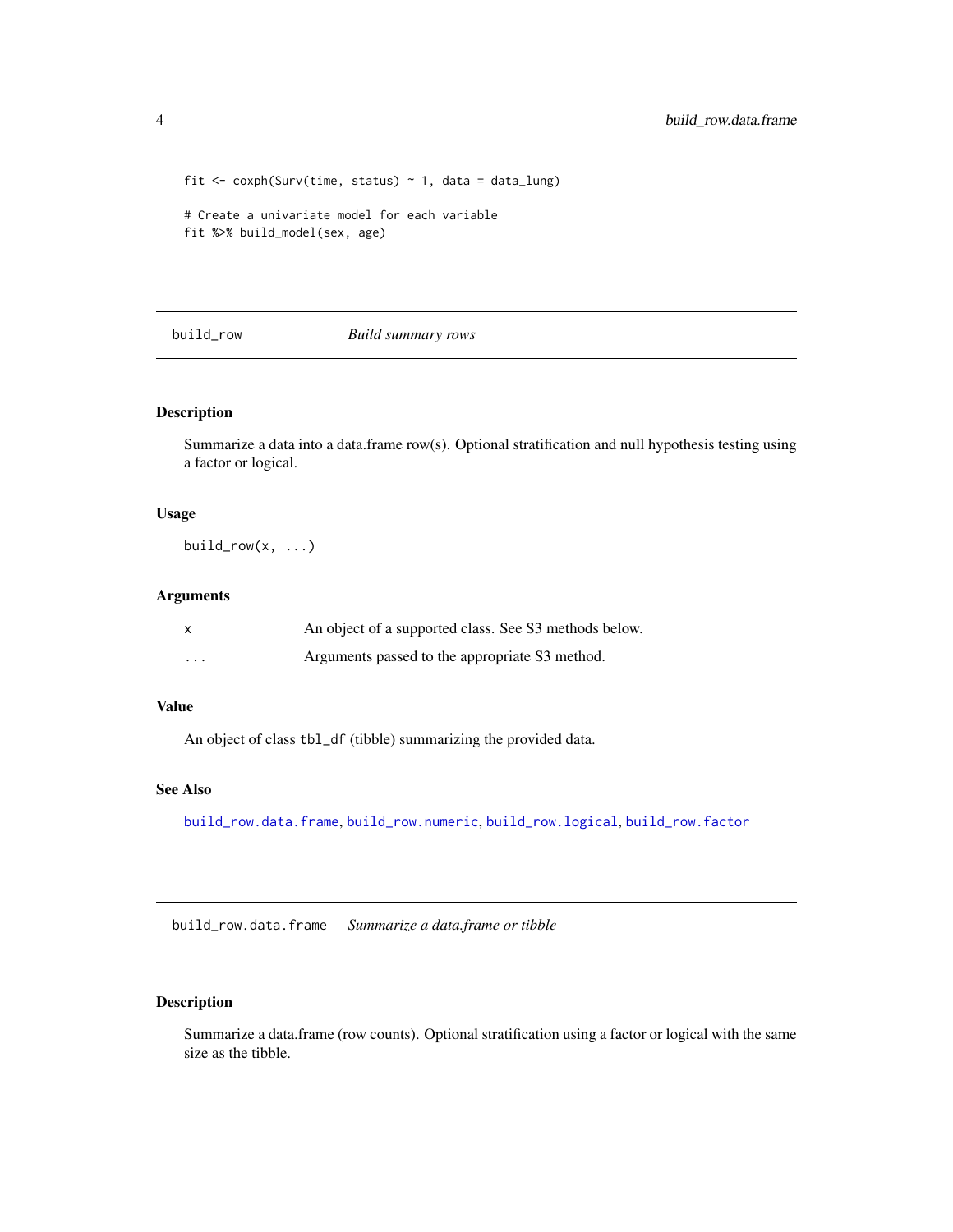```
fit \le coxph(Surv(time, status) \sim 1, data = data_lung)
# Create a univariate model for each variable
fit %>% build_model(sex, age)
```
## <span id="page-3-2"></span>build\_row *Build summary rows*

## Description

Summarize a data into a data.frame row(s). Optional stratification and null hypothesis testing using a factor or logical.

#### Usage

build\_row $(x, \ldots)$ 

#### Arguments

|                         | An object of a supported class. See S3 methods below. |
|-------------------------|-------------------------------------------------------|
| $\cdot$ $\cdot$ $\cdot$ | Arguments passed to the appropriate S3 method.        |

#### Value

An object of class tbl\_df (tibble) summarizing the provided data.

#### See Also

[build\\_row.data.frame](#page-3-1), [build\\_row.numeric](#page-7-1), [build\\_row.logical](#page-6-1), [build\\_row.factor](#page-4-1)

<span id="page-3-1"></span>build\_row.data.frame *Summarize a data.frame or tibble*

#### Description

Summarize a data.frame (row counts). Optional stratification using a factor or logical with the same size as the tibble.

<span id="page-3-0"></span>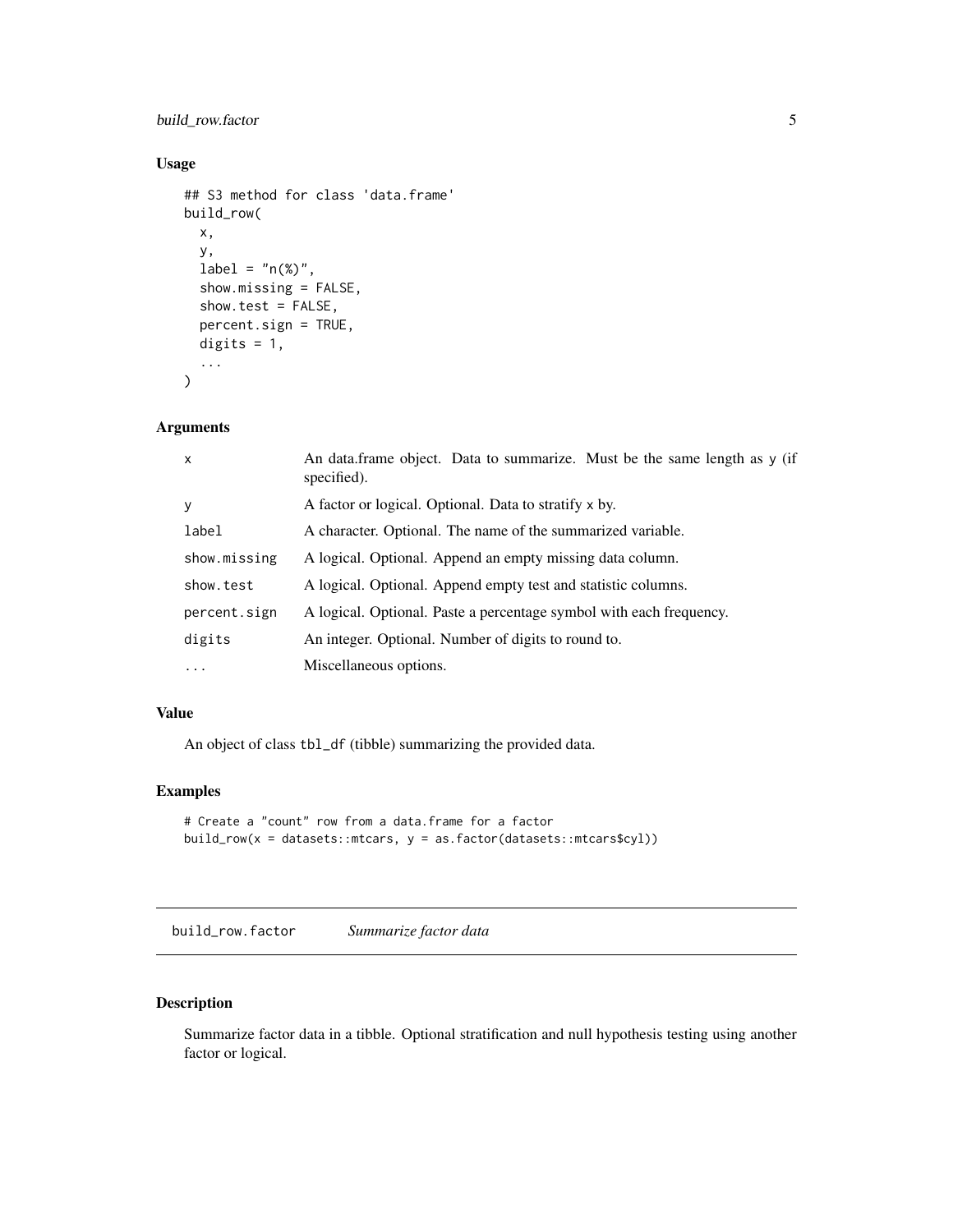## <span id="page-4-0"></span>build\_row.factor 5

#### Usage

```
## S3 method for class 'data.frame'
build_row(
  x,
  y,
  label = "n(<math>\%)</math>"show.missing = FALSE,
  show.test = FALSE,
  percent.sign = TRUE,
  digits = 1,
  ...
\mathcal{L}
```
## Arguments

| $\mathsf{x}$ | An data.frame object. Data to summarize. Must be the same length as y (if<br>specified). |
|--------------|------------------------------------------------------------------------------------------|
| y            | A factor or logical. Optional. Data to stratify x by.                                    |
| label        | A character. Optional. The name of the summarized variable.                              |
| show.missing | A logical. Optional. Append an empty missing data column.                                |
| show.test    | A logical. Optional. Append empty test and statistic columns.                            |
| percent.sign | A logical. Optional. Paste a percentage symbol with each frequency.                      |
| digits       | An integer. Optional. Number of digits to round to.                                      |
| $\ddotsc$    | Miscellaneous options.                                                                   |
|              |                                                                                          |

## Value

An object of class tbl\_df (tibble) summarizing the provided data.

## Examples

```
# Create a "count" row from a data.frame for a factor
build_row(x = datasets::mtcars, y = as.factor(datasets::mtcars$cyl))
```
<span id="page-4-1"></span>build\_row.factor *Summarize factor data*

## Description

Summarize factor data in a tibble. Optional stratification and null hypothesis testing using another factor or logical.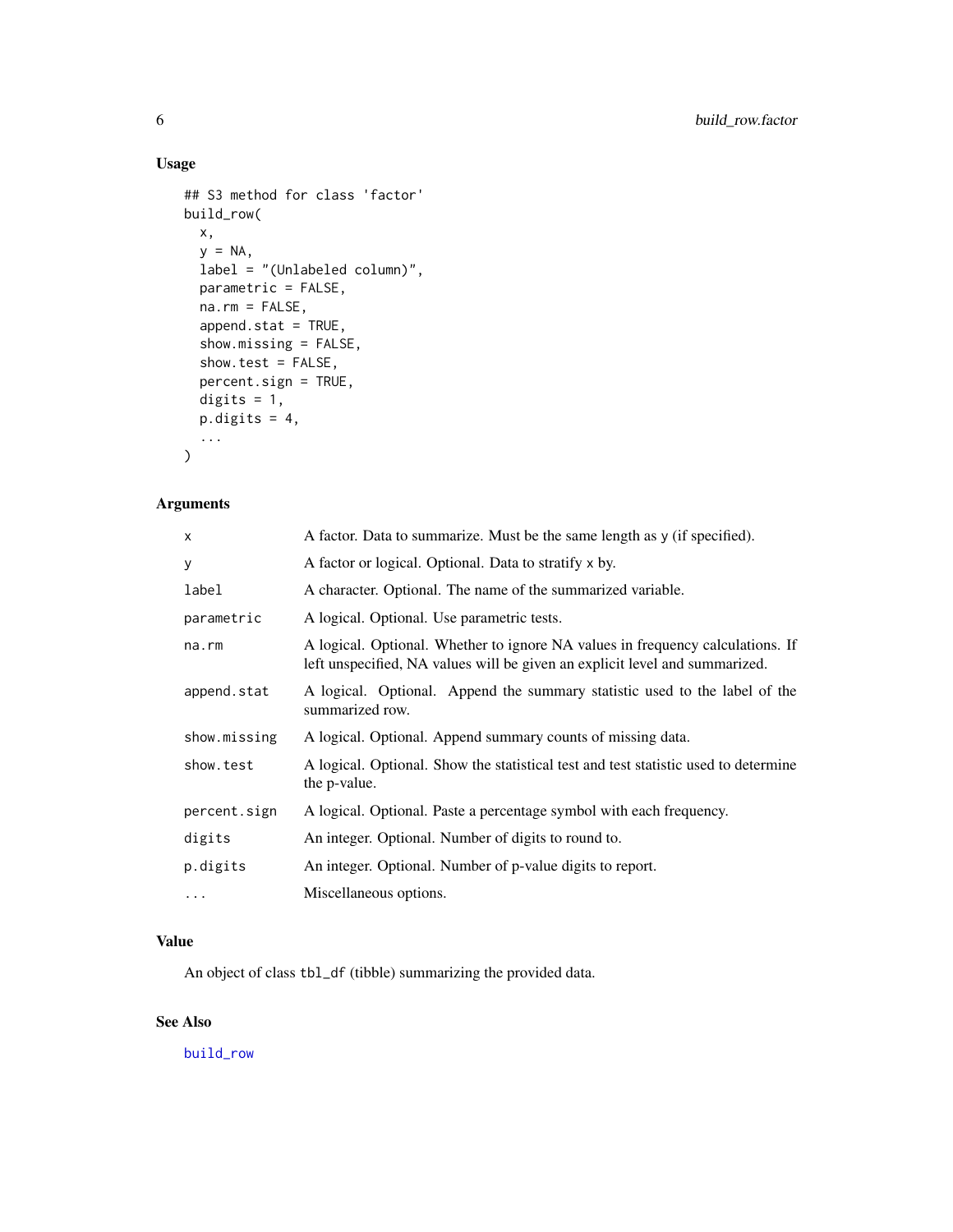## Usage

```
## S3 method for class 'factor'
build_row(
 x,
 y = NA,
 label = "(Unlabeled column)",
 parametric = FALSE,
 na.rm = FALSE,
 append.stat = TRUE,
  show.missing = FALSE,
  show.test = FALSE,
 percent.sign = TRUE,
 digits = 1,
 p.digits = 4,...
)
```
## Arguments

| x            | A factor. Data to summarize. Must be the same length as y (if specified).                                                                                     |
|--------------|---------------------------------------------------------------------------------------------------------------------------------------------------------------|
| y            | A factor or logical. Optional. Data to stratify x by.                                                                                                         |
| label        | A character. Optional. The name of the summarized variable.                                                                                                   |
| parametric   | A logical. Optional. Use parametric tests.                                                                                                                    |
| na.rm        | A logical. Optional. Whether to ignore NA values in frequency calculations. If<br>left unspecified, NA values will be given an explicit level and summarized. |
| append.stat  | A logical. Optional. Append the summary statistic used to the label of the<br>summarized row.                                                                 |
| show.missing | A logical. Optional. Append summary counts of missing data.                                                                                                   |
| show.test    | A logical. Optional. Show the statistical test and test statistic used to determine<br>the <i>p</i> -value.                                                   |
| percent.sign | A logical. Optional. Paste a percentage symbol with each frequency.                                                                                           |
| digits       | An integer. Optional. Number of digits to round to.                                                                                                           |
| p.digits     | An integer. Optional. Number of p-value digits to report.                                                                                                     |
| $\cdots$     | Miscellaneous options.                                                                                                                                        |

## Value

An object of class tbl\_df (tibble) summarizing the provided data.

## See Also

[build\\_row](#page-3-2)

<span id="page-5-0"></span>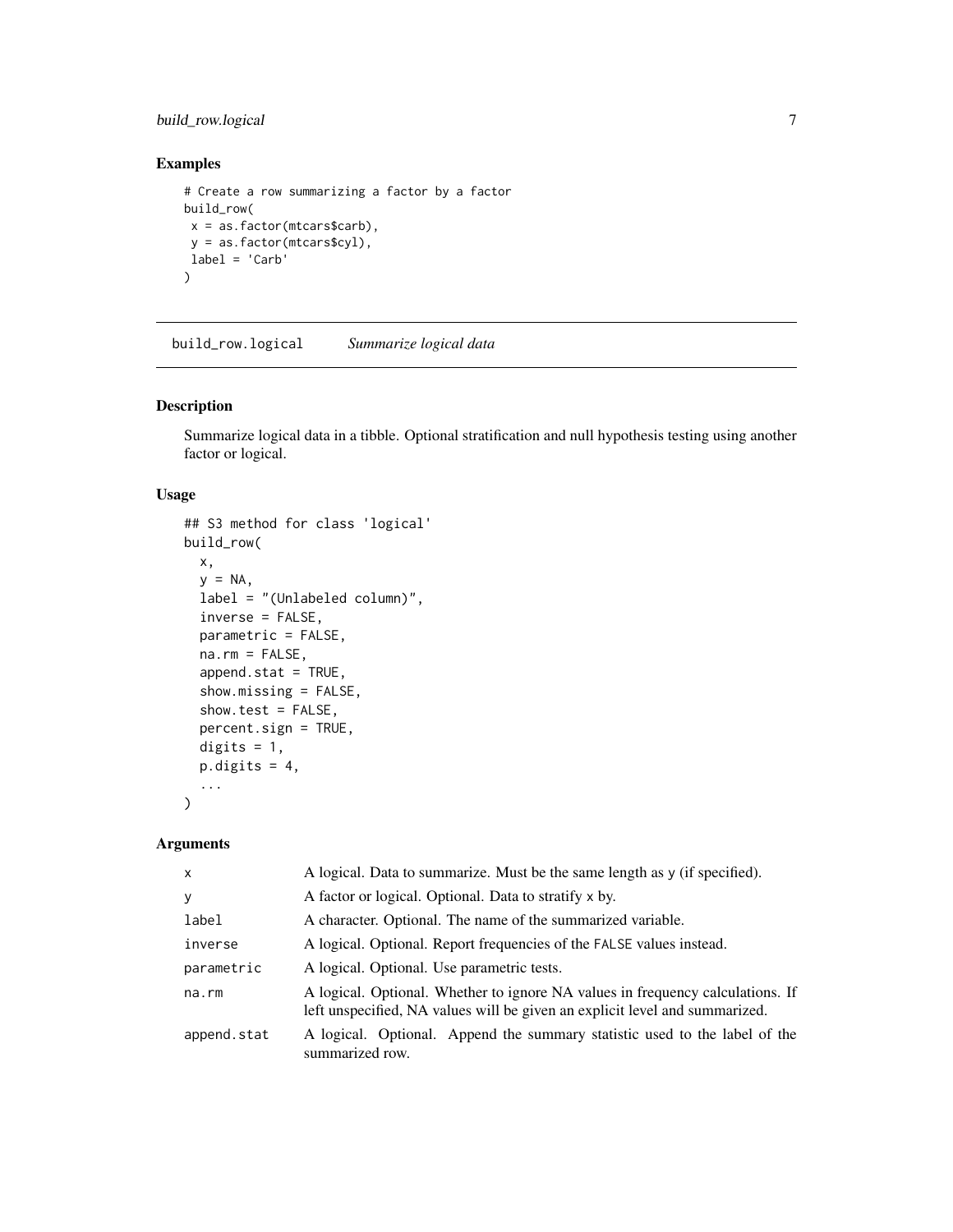## <span id="page-6-0"></span>build\_row.logical 7

#### Examples

```
# Create a row summarizing a factor by a factor
build_row(
x = as.factor(mtcars$carb),
y = as.factor(mtcars$cyl),
label = 'Carb'
\lambda
```
<span id="page-6-1"></span>build\_row.logical *Summarize logical data*

#### Description

Summarize logical data in a tibble. Optional stratification and null hypothesis testing using another factor or logical.

#### Usage

```
## S3 method for class 'logical'
build_row(
  x,
 y = NA,
  label = "(Unlabeled column)",
  inverse = FALSE,
 parametric = FALSE,
 na.rm = FALSE,
  append.stat = TRUE,
  show.missing = FALSE,
  show.test = FALSE,
 percent.sign = TRUE,
 digits = 1,
 p.digits = 4,
  ...
)
```
#### Arguments

| $\mathsf{x}$ | A logical. Data to summarize. Must be the same length as y (if specified).                                                                                    |
|--------------|---------------------------------------------------------------------------------------------------------------------------------------------------------------|
| y            | A factor or logical. Optional. Data to stratify x by.                                                                                                         |
| label        | A character. Optional. The name of the summarized variable.                                                                                                   |
| inverse      | A logical. Optional. Report frequencies of the FALSE values instead.                                                                                          |
| parametric   | A logical. Optional. Use parametric tests.                                                                                                                    |
| $na$ . $rm$  | A logical. Optional. Whether to ignore NA values in frequency calculations. If<br>left unspecified, NA values will be given an explicit level and summarized. |
| append.stat  | A logical. Optional. Append the summary statistic used to the label of the<br>summarized row.                                                                 |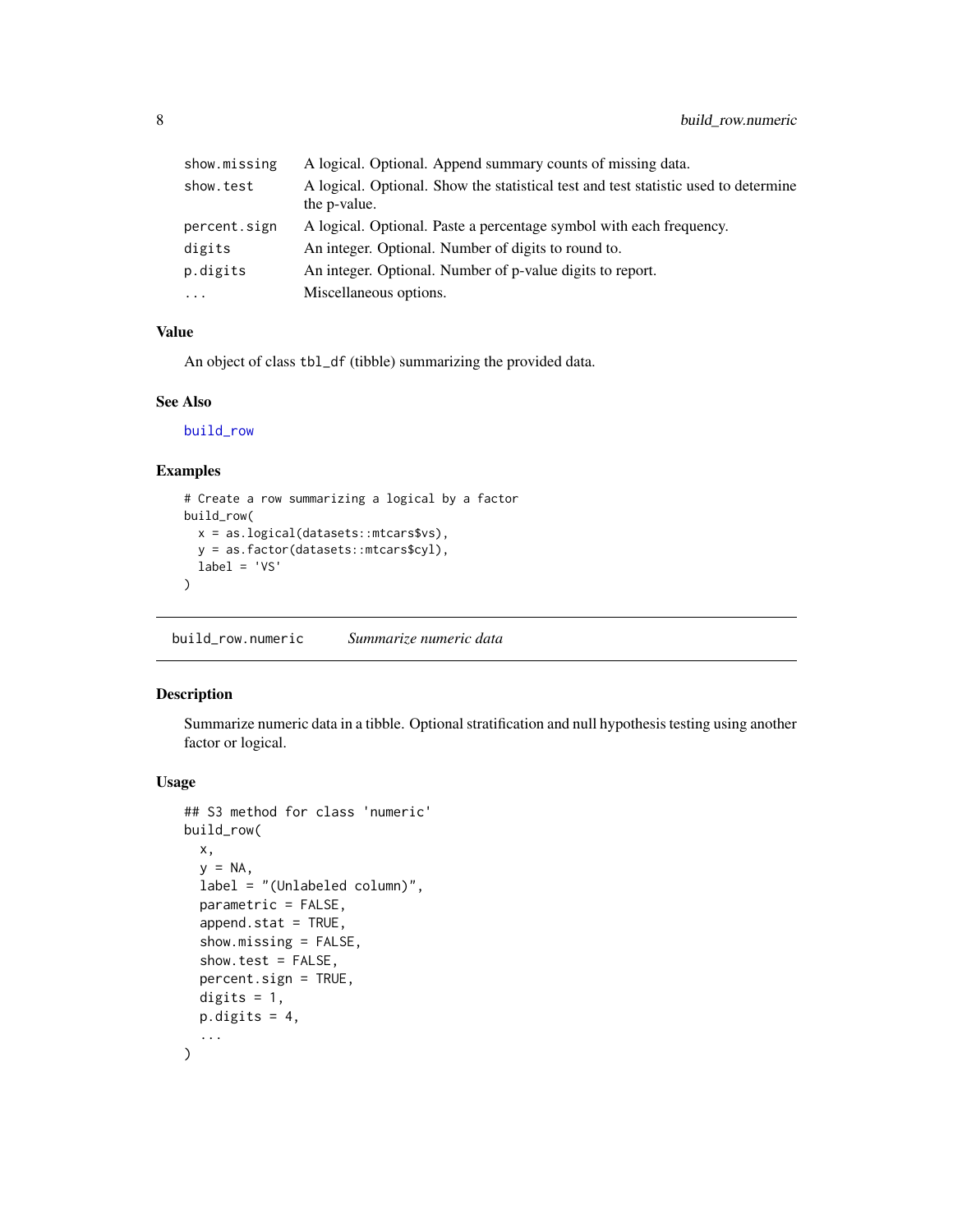<span id="page-7-0"></span>

| show.missing | A logical. Optional. Append summary counts of missing data.                                                 |
|--------------|-------------------------------------------------------------------------------------------------------------|
| show.test    | A logical. Optional. Show the statistical test and test statistic used to determine<br>the <i>p</i> -value. |
| percent.sign | A logical. Optional. Paste a percentage symbol with each frequency.                                         |
| digits       | An integer. Optional. Number of digits to round to.                                                         |
| p.digits     | An integer. Optional. Number of p-value digits to report.                                                   |
| $\cdots$     | Miscellaneous options.                                                                                      |

#### Value

An object of class tbl\_df (tibble) summarizing the provided data.

#### See Also

[build\\_row](#page-3-2)

## Examples

```
# Create a row summarizing a logical by a factor
build_row(
  x = as.logical(datasets::mtcars$vs),
  y = as.factor(datasets::mtcars$cyl),
 label = 'VS'
\mathcal{L}
```
<span id="page-7-1"></span>build\_row.numeric *Summarize numeric data*

#### Description

Summarize numeric data in a tibble. Optional stratification and null hypothesis testing using another factor or logical.

#### Usage

```
## S3 method for class 'numeric'
build_row(
 x,
  y = NA,
  label = "(Unlabeled column)",
  parametric = FALSE,
  append.stat = TRUE,
  show.missing = FALSE,
  show.test = FALSE,
  percent.sign = TRUE,
  digits = 1,
 p.digits = 4,...
\mathcal{E}
```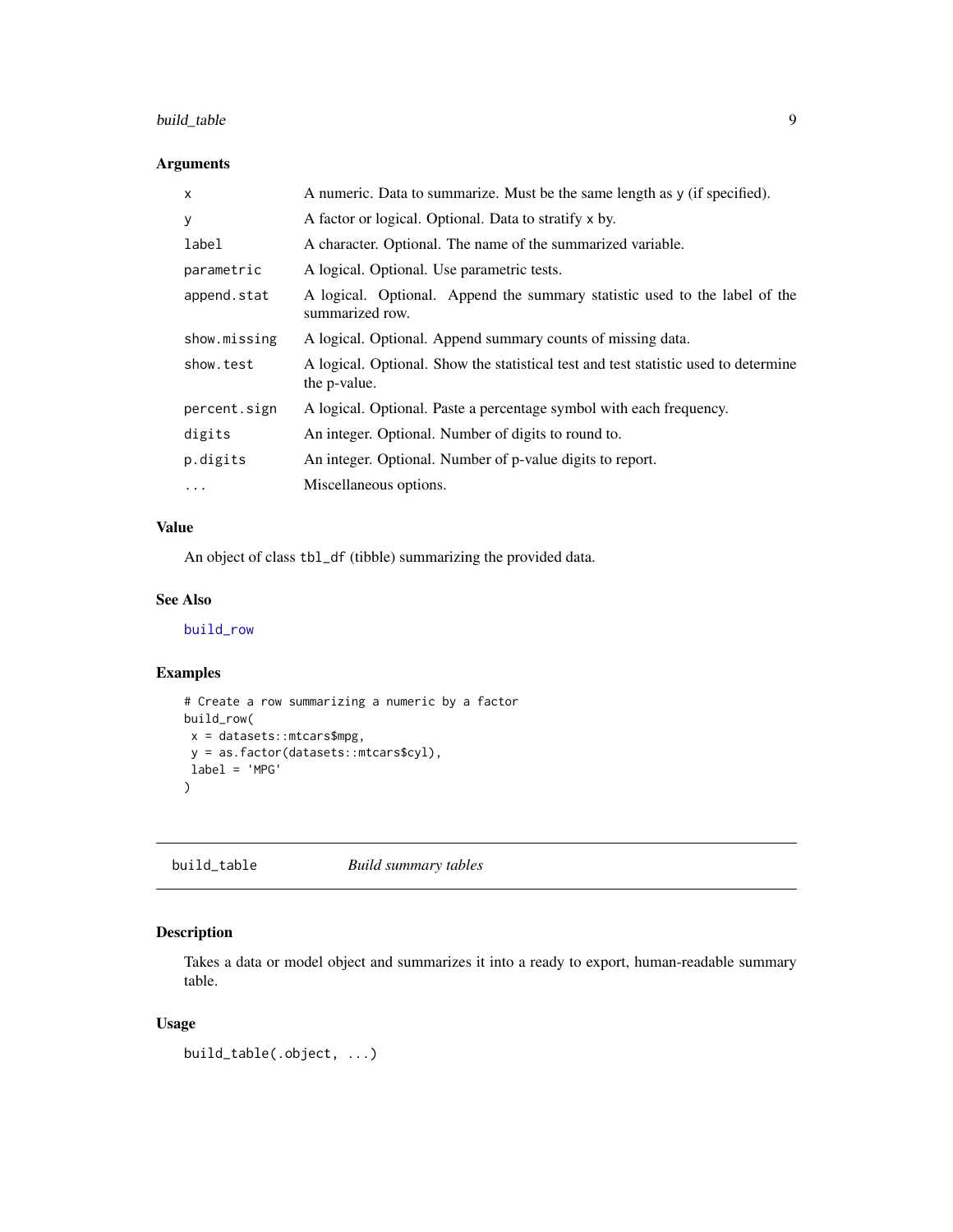## <span id="page-8-0"></span>build\_table 9

#### Arguments

| $\mathsf{x}$ | A numeric. Data to summarize. Must be the same length as y (if specified).                          |
|--------------|-----------------------------------------------------------------------------------------------------|
| У            | A factor or logical. Optional. Data to stratify x by.                                               |
| label        | A character. Optional. The name of the summarized variable.                                         |
| parametric   | A logical. Optional. Use parametric tests.                                                          |
| append.stat  | A logical. Optional. Append the summary statistic used to the label of the<br>summarized row.       |
| show.missing | A logical. Optional. Append summary counts of missing data.                                         |
| show.test    | A logical. Optional. Show the statistical test and test statistic used to determine<br>the p-value. |
| percent.sign | A logical. Optional. Paste a percentage symbol with each frequency.                                 |
| digits       | An integer. Optional. Number of digits to round to.                                                 |
| p.digits     | An integer. Optional. Number of p-value digits to report.                                           |
| .            | Miscellaneous options.                                                                              |

#### Value

An object of class tbl\_df (tibble) summarizing the provided data.

#### See Also

[build\\_row](#page-3-2)

#### Examples

```
# Create a row summarizing a numeric by a factor
build_row(
x = datasets::mtcars$mpg,
y = as.factor(datasets::mtcars$cyl),
label = 'MPG'
)
```
<span id="page-8-1"></span>build\_table *Build summary tables*

## Description

Takes a data or model object and summarizes it into a ready to export, human-readable summary table.

## Usage

build\_table(.object, ...)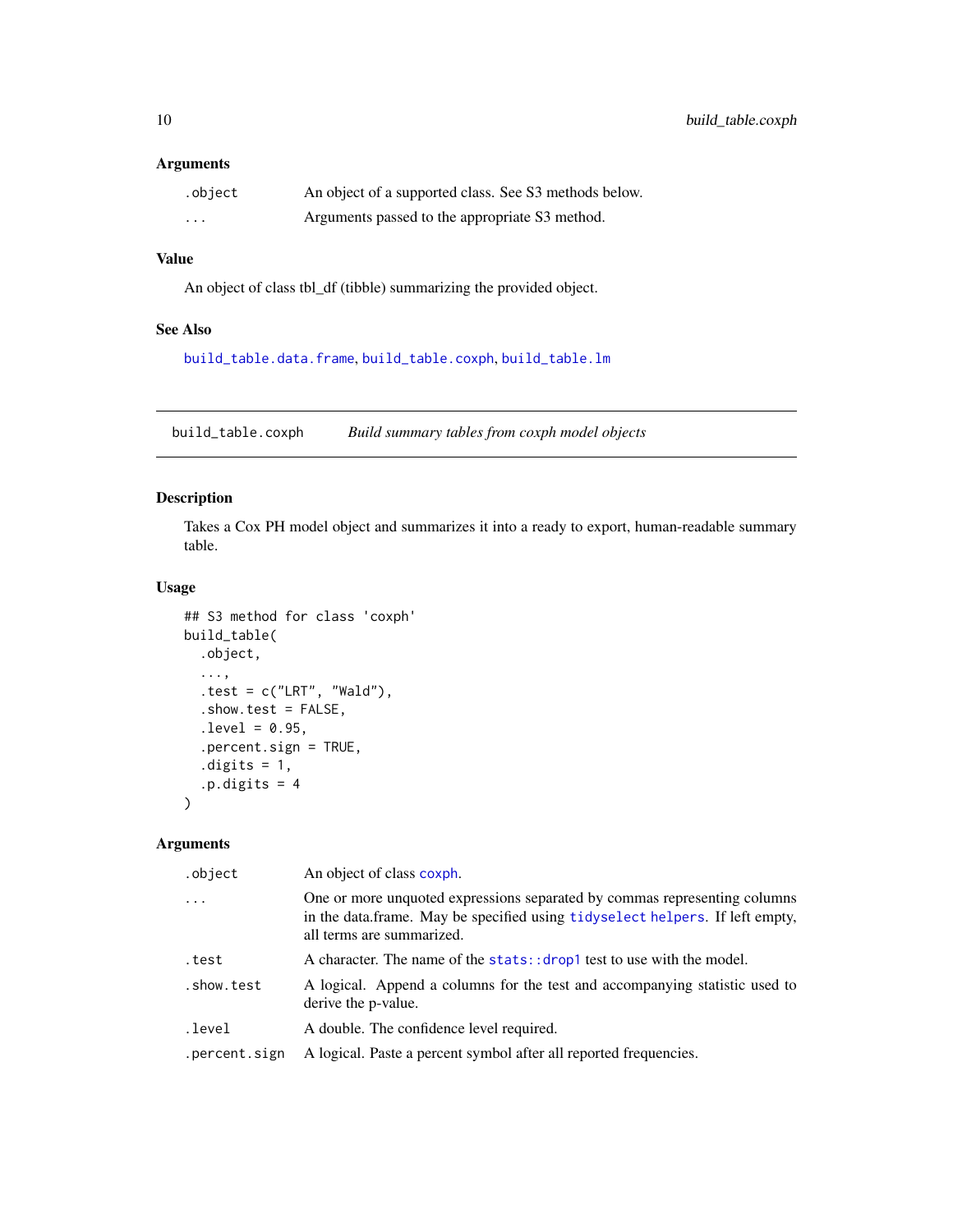#### <span id="page-9-0"></span>Arguments

| .object                 | An object of a supported class. See S3 methods below. |
|-------------------------|-------------------------------------------------------|
| $\cdot$ $\cdot$ $\cdot$ | Arguments passed to the appropriate S3 method.        |

## Value

An object of class tbl\_df (tibble) summarizing the provided object.

## See Also

[build\\_table.data.frame](#page-10-1), [build\\_table.coxph](#page-9-1), [build\\_table.lm](#page-12-1)

<span id="page-9-1"></span>build\_table.coxph *Build summary tables from coxph model objects*

## Description

Takes a Cox PH model object and summarizes it into a ready to export, human-readable summary table.

#### Usage

```
## S3 method for class 'coxph'
build_table(
  .object,
  ...,
  .test = c("LRT", "Wald"),.show.test = FALSE,
  . level = 0.95,.percent.sign = TRUE,
  .digits = 1,
  .p.digits = 4)
```
#### Arguments

| .object       | An object of class coxph.                                                                                                                                                              |
|---------------|----------------------------------------------------------------------------------------------------------------------------------------------------------------------------------------|
| .             | One or more unquoted expressions separated by commas representing columns<br>in the data frame. May be specified using tidyselect helpers. If left empty,<br>all terms are summarized. |
| .test         | A character. The name of the stats:: drop1 test to use with the model.                                                                                                                 |
| .show.test    | A logical. Append a columns for the test and accompanying statistic used to<br>derive the p-value.                                                                                     |
| .level        | A double. The confidence level required.                                                                                                                                               |
| .percent.sign | A logical. Paste a percent symbol after all reported frequencies.                                                                                                                      |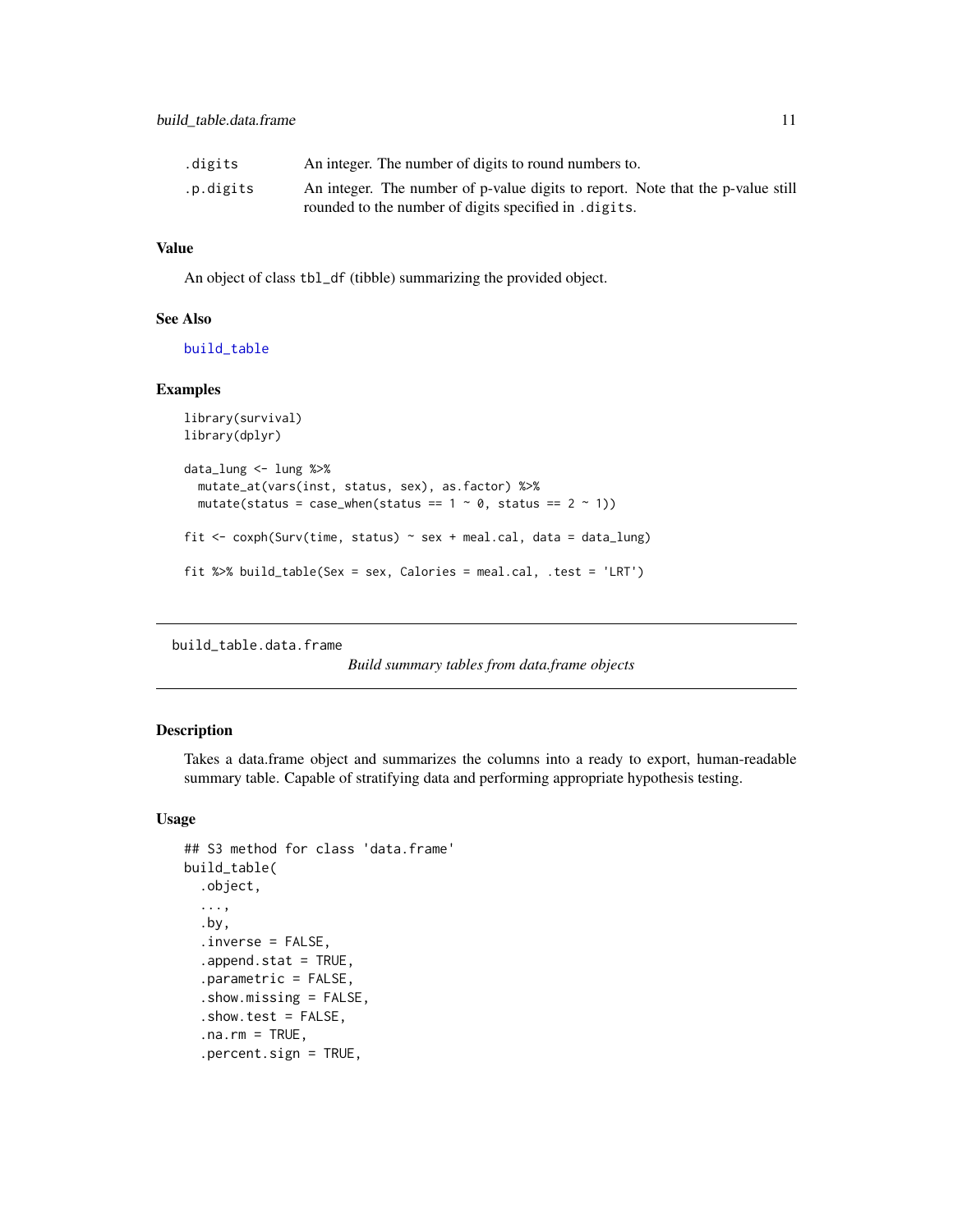<span id="page-10-0"></span>

| .digits   | An integer. The number of digits to round numbers to.                           |
|-----------|---------------------------------------------------------------------------------|
| .p.digits | An integer. The number of p-value digits to report. Note that the p-value still |
|           | rounded to the number of digits specified in . digits.                          |

## Value

An object of class tbl\_df (tibble) summarizing the provided object.

#### See Also

[build\\_table](#page-8-1)

#### Examples

```
library(survival)
library(dplyr)
data_lung <- lung %>%
  mutate_at(vars(inst, status, sex), as.factor) %>%
  mutate(status = case_when(status == 1 ~ 0, status == 2 ~ 1))
fit \leq coxph(Surv(time, status) \sim sex + meal.cal, data = data_lung)
fit %>% build_table(Sex = sex, Calories = meal.cal, .test = 'LRT')
```
<span id="page-10-1"></span>build\_table.data.frame

*Build summary tables from data.frame objects*

#### Description

Takes a data.frame object and summarizes the columns into a ready to export, human-readable summary table. Capable of stratifying data and performing appropriate hypothesis testing.

#### Usage

```
## S3 method for class 'data.frame'
build_table(
  .object,
  ...,
  .by,
  .inverse = FALSE,
  append.stat = TRUE,.parametric = FALSE,
  .show.missing = FALSE,
  .show.test = FALSE,
  .na.rm = TRUE,
  .percent.sign = TRUE,
```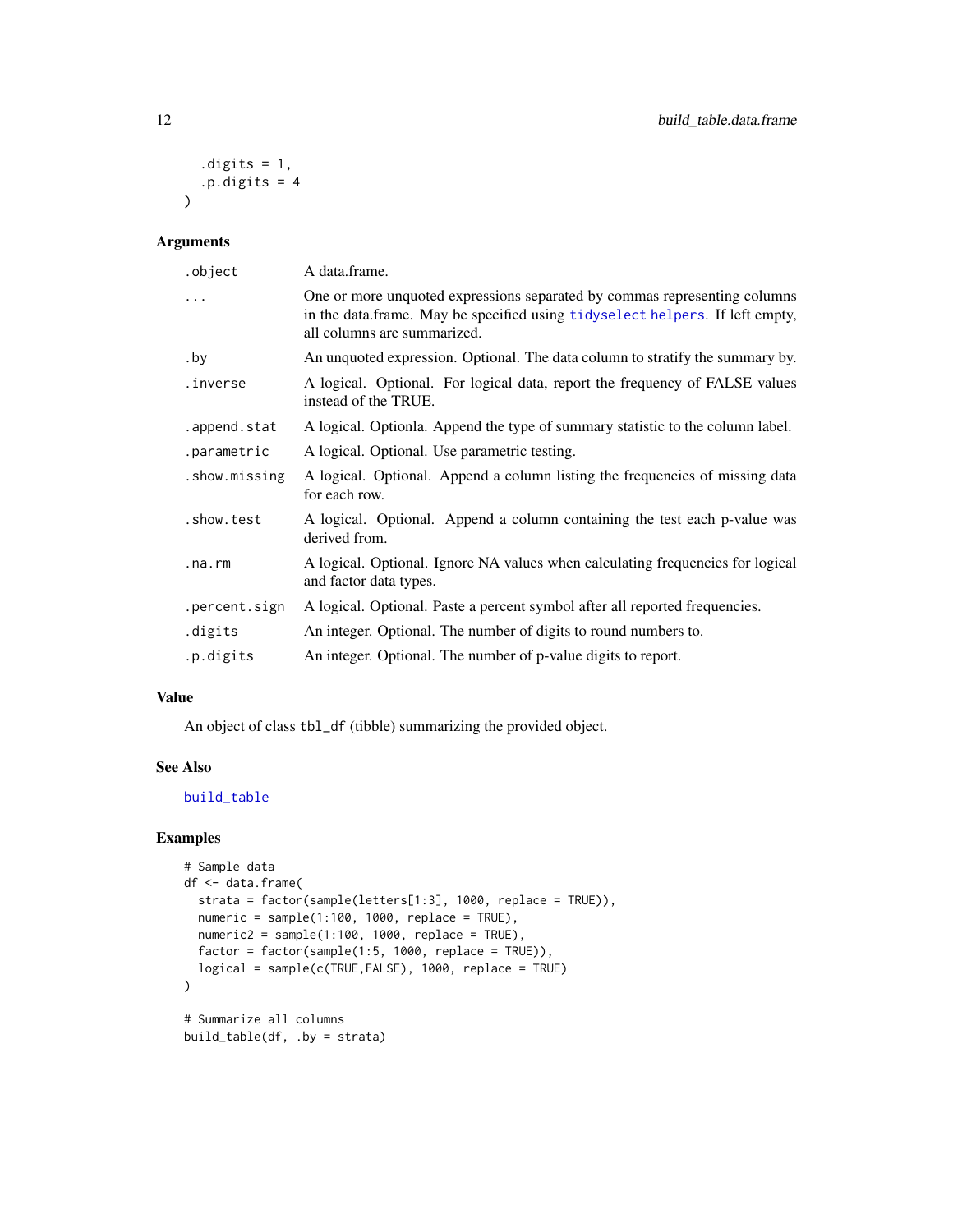```
.digits = 1,.p.digits = 4\overline{)}
```
## Arguments

| .object       | A data.frame.                                                                                                                                                                            |
|---------------|------------------------------------------------------------------------------------------------------------------------------------------------------------------------------------------|
| .             | One or more unquoted expressions separated by commas representing columns<br>in the data.frame. May be specified using tidyselect helpers. If left empty,<br>all columns are summarized. |
| .by           | An unquoted expression. Optional. The data column to stratify the summary by.                                                                                                            |
| .inverse      | A logical. Optional. For logical data, report the frequency of FALSE values<br>instead of the TRUE.                                                                                      |
| .append.stat  | A logical. Optionia. Append the type of summary statistic to the column label.                                                                                                           |
| .parametric   | A logical. Optional. Use parametric testing.                                                                                                                                             |
| .show.missing | A logical. Optional. Append a column listing the frequencies of missing data<br>for each row.                                                                                            |
| .show.test    | A logical. Optional. Append a column containing the test each p-value was<br>derived from.                                                                                               |
| .na.rm        | A logical. Optional. Ignore NA values when calculating frequencies for logical<br>and factor data types.                                                                                 |
| .percent.sign | A logical. Optional. Paste a percent symbol after all reported frequencies.                                                                                                              |
| .digits       | An integer. Optional. The number of digits to round numbers to.                                                                                                                          |
| .p.digits     | An integer. Optional. The number of p-value digits to report.                                                                                                                            |

#### Value

An object of class tbl\_df (tibble) summarizing the provided object.

#### See Also

[build\\_table](#page-8-1)

## Examples

```
# Sample data
df <- data.frame(
  strata = factor(sample(letters[1:3], 1000, replace = TRUE)),
 numeric = sample(1:100, 1000, replace = TRUE),
 numeric2 = sample(1:100, 1000, replace = TRUE),factor = factor(sample(1:5, 1000, replace = TRUE)),logical = sample(c(TRUE,FALSE), 1000, replace = TRUE)
)
# Summarize all columns
build_table(df, .by = strata)
```
<span id="page-11-0"></span>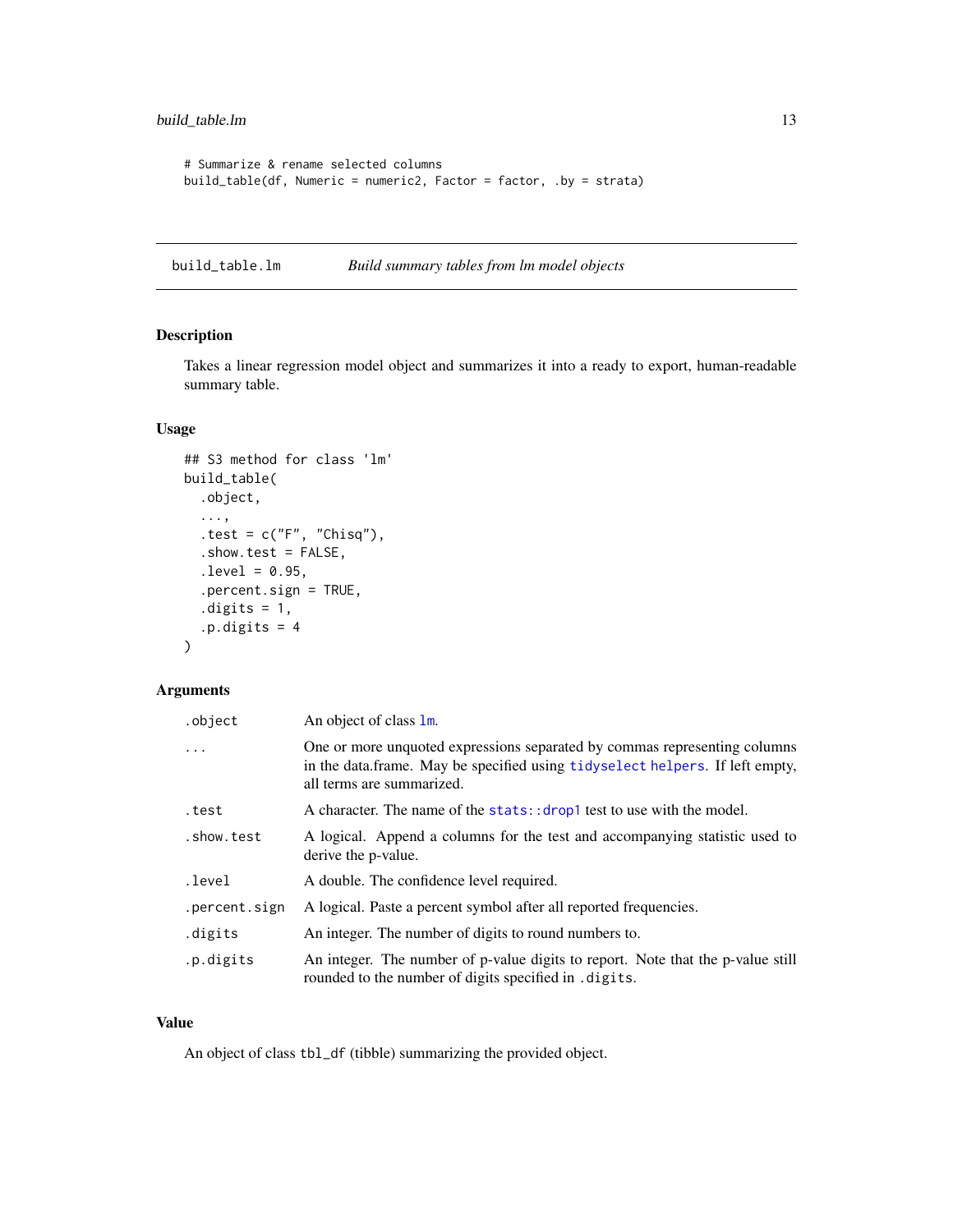```
# Summarize & rename selected columns
build_table(df, Numeric = numeric2, Factor = factor, .by = strata)
```
<span id="page-12-1"></span>build\_table.lm *Build summary tables from lm model objects*

## Description

Takes a linear regression model object and summarizes it into a ready to export, human-readable summary table.

#### Usage

```
## S3 method for class 'lm'
build_table(
  .object,
  ...,
  .test = c("F", "Chisq"),.show.test = FALSE,
  . level = 0.95,.percent.sign = TRUE,
  .digits = 1,
  .p.digits = 4)
```
#### Arguments

| .object       | An object of class 1m.                                                                                                                                                                 |
|---------------|----------------------------------------------------------------------------------------------------------------------------------------------------------------------------------------|
| .             | One or more unquoted expressions separated by commas representing columns<br>in the data.frame. May be specified using tidyselect helpers. If left empty,<br>all terms are summarized. |
| .test         | A character. The name of the stats: : drop1 test to use with the model.                                                                                                                |
| .show.test    | A logical. Append a columns for the test and accompanying statistic used to<br>derive the p-value.                                                                                     |
| .level        | A double. The confidence level required.                                                                                                                                               |
| .percent.sign | A logical. Paste a percent symbol after all reported frequencies.                                                                                                                      |
| .digits       | An integer. The number of digits to round numbers to.                                                                                                                                  |
| .p.digits     | An integer. The number of p-value digits to report. Note that the p-value still<br>rounded to the number of digits specified in . digits.                                              |

#### Value

An object of class tbl\_df (tibble) summarizing the provided object.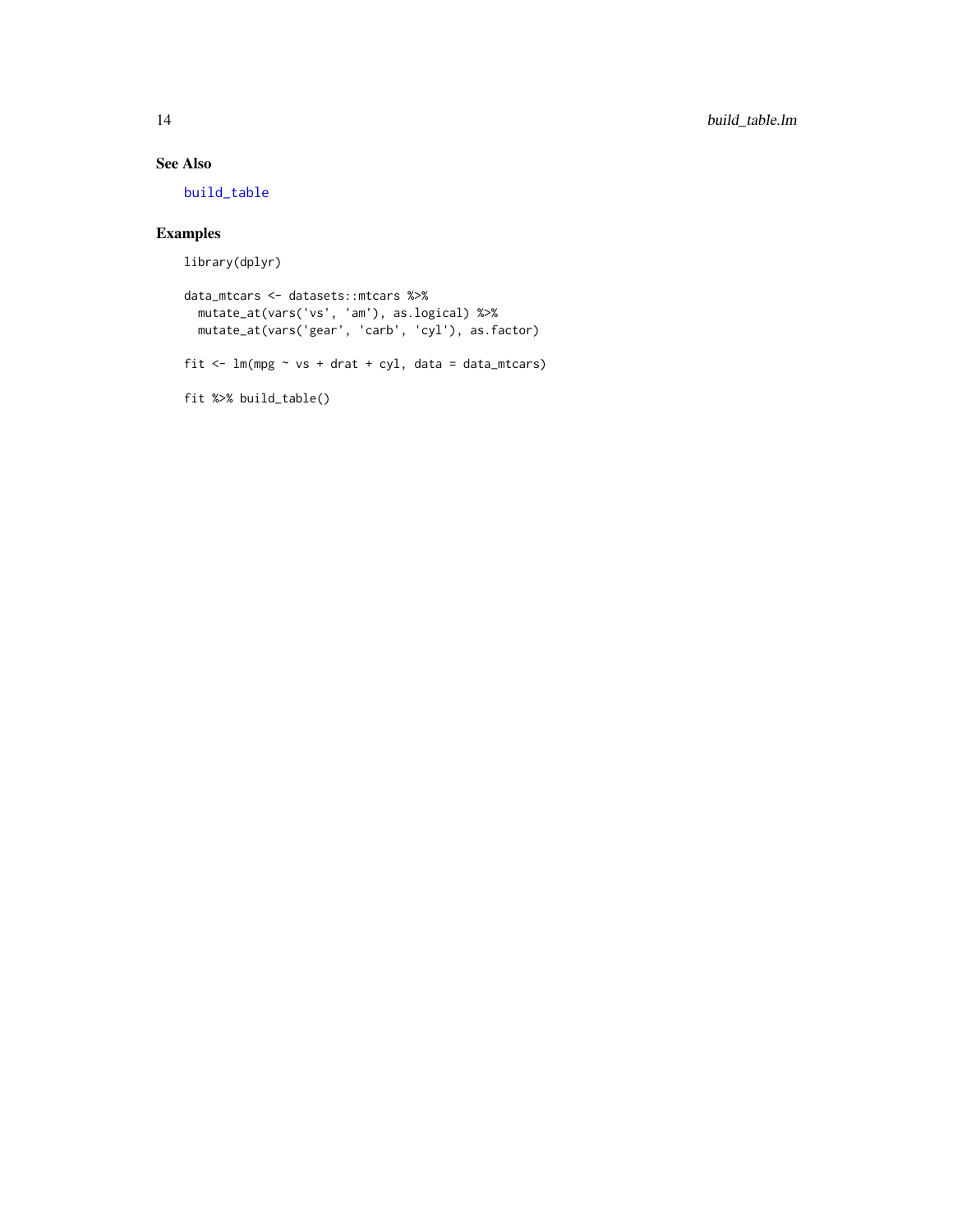## <span id="page-13-0"></span>See Also

[build\\_table](#page-8-1)

## Examples

library(dplyr)

```
data_mtcars <- datasets::mtcars %>%
 mutate_at(vars('vs', 'am'), as.logical) %>%
 mutate_at(vars('gear', 'carb', 'cyl'), as.factor)
```

```
fit \leftarrow lm(mpg \sim vs + drat + cyl, data = data_mtcars)
```
fit %>% build\_table()